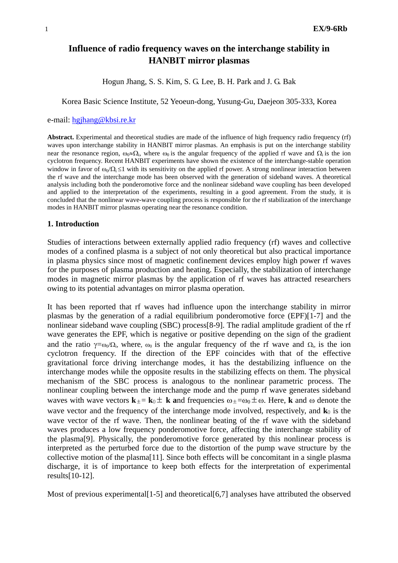# **Influence of radio frequency waves on the interchange stability in HANBIT mirror plasmas**

Hogun Jhang, S. S. Kim, S. G. Lee, B. H. Park and J. G. Bak

Korea Basic Science Institute, 52 Yeoeun-dong, Yusung-Gu, Daejeon 305-333, Korea

## e-mail: [hgjhang@kbsi.re.kr](mailto:hgjhang@kbsi.re.kr)

**Abstract.** Experimental and theoretical studies are made of the influence of high frequency radio frequency (rf) waves upon interchange stability in HANBIT mirror plasmas. An emphasis is put on the interchange stability near the resonance region,  $\omega_0 \approx \Omega_i$ , where  $\omega_0$  is the angular frequency of the applied rf wave and  $\Omega_i$  is the ion cyclotron frequency. Recent HANBIT experiments have shown the existence of the interchange-stable operation window in favor of  $\omega_0/\Omega_i \leq 1$  with its sensitivity on the applied rf power. A strong nonlinear interaction between the rf wave and the interchange mode has been observed with the generation of sideband waves. A theoretical analysis including both the ponderomotive force and the nonlinear sideband wave coupling has been developed and applied to the interpretation of the experiments, resulting in a good agreement. From the study, it is concluded that the nonlinear wave-wave coupling process is responsible for the rf stabilization of the interchange modes in HANBIT mirror plasmas operating near the resonance condition.

## **1. Introduction**

Studies of interactions between externally applied radio frequency (rf) waves and collective modes of a confined plasma is a subject of not only theoretical but also practical importance in plasma physics since most of magnetic confinement devices employ high power rf waves for the purposes of plasma production and heating. Especially, the stabilization of interchange modes in magnetic mirror plasmas by the application of rf waves has attracted researchers owing to its potential advantages on mirror plasma operation.

It has been reported that rf waves had influence upon the interchange stability in mirror plasmas by the generation of a radial equilibrium ponderomotive force (EPF)[1-7] and the nonlinear sideband wave coupling (SBC) process[8-9]. The radial amplitude gradient of the rf wave generates the EPF, which is negative or positive depending on the sign of the gradient and the ratio  $\gamma = \omega_0/\Omega_i$ , where,  $\omega_0$  is the angular frequency of the rf wave and  $\Omega_i$ , is the ion cyclotron frequency. If the direction of the EPF coincides with that of the effective gravitational force driving interchange modes, it has the destabilizing influence on the interchange modes while the opposite results in the stabilizing effects on them. The physical mechanism of the SBC process is analogous to the nonlinear parametric process. The nonlinear coupling between the interchange mode and the pump rf wave generates sideband waves with wave vectors  $\mathbf{k}_{\pm} = \mathbf{k}_0 \pm \mathbf{k}$  and frequencies  $\omega_{\pm} = \omega_0 \pm \omega$ . Here, **k** and  $\omega$  denote the wave vector and the frequency of the interchange mode involved, respectively, and  $\mathbf{k}_0$  is the wave vector of the rf wave. Then, the nonlinear beating of the rf wave with the sideband waves produces a low frequency ponderomotive force, affecting the interchange stability of the plasma[9]. Physically, the ponderomotive force generated by this nonlinear process is interpreted as the perturbed force due to the distortion of the pump wave structure by the collective motion of the plasma[11]. Since both effects will be concomitant in a single plasma discharge, it is of importance to keep both effects for the interpretation of experimental results[10-12].

Most of previous experimental [1-5] and theoretical [6,7] analyses have attributed the observed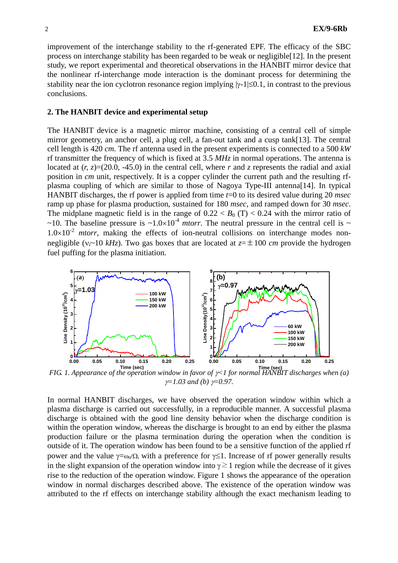improvement of the interchange stability to the rf-generated EPF. The efficacy of the SBC process on interchange stability has been regarded to be weak or negligible[12]. In the present study, we report experimental and theoretical observations in the HANBIT mirror device that the nonlinear rf-interchange mode interaction is the dominant process for determining the stability near the ion cyclotron resonance region implying  $|\gamma_1| \leq 0.1$ , in contrast to the previous conclusions.

#### **2. The HANBIT device and experimental setup**

The HANBIT device is a magnetic mirror machine, consisting of a central cell of simple mirror geometry, an anchor cell, a plug cell, a fan-out tank and a cusp tank[13]. The central cell length is 420 *cm*. The rf antenna used in the present experiments is connected to a 500 *kW* rf transmitter the frequency of which is fixed at 3.5 *MHz* in normal operations. The antenna is located at  $(r, z) = (20.0, -45.0)$  in the central cell, where r and z represents the radial and axial position in *cm* unit, respectively. It is a copper cylinder the current path and the resulting rfplasma coupling of which are similar to those of Nagoya Type-III antenna[14]. In typical HANBIT discharges, the rf power is applied from time *t*=0 to its desired value during 20 *msec* ramp up phase for plasma production, sustained for 180 *msec*, and ramped down for 30 *msec*. The midplane magnetic field is in the range of  $0.22 < B_0(T) < 0.24$  with the mirror ratio of ~10. The baseline pressure is ~1.0×10<sup>-4</sup> *mtorr*. The neutral pressure in the central cell is ~  $1.0\times10^{-2}$  *mtorr*, making the effects of ion-neutral collisions on interchange modes nonnegligible ( $v_i \sim 10 \ kHz$ ). Two gas boxes that are located at  $z = \pm 100 \ cm$  provide the hydrogen fuel puffing for the plasma initiation.



*FIG. 1. Appearance of the operation window in favor of* γ*<1 for normal HANBIT discharges when (a)*  **Time (sec) Time (sec)** <sup>γ</sup>*=1.03 and (b)* γ*=0.97.* 

In normal HANBIT discharges, we have observed the operation window within which a plasma discharge is carried out successfully, in a reproducible manner. A successful plasma discharge is obtained with the good line density behavior when the discharge condition is within the operation window, whereas the discharge is brought to an end by either the plasma production failure or the plasma termination during the operation when the condition is outside of it. The operation window has been found to be a sensitive function of the applied rf power and the value  $\gamma = \omega_0/\Omega$  with a preference for  $\gamma \leq 1$ . Increase of rf power generally results in the slight expansion of the operation window into  $\gamma \geq 1$  region while the decrease of it gives rise to the reduction of the operation window. Figure 1 shows the appearance of the operation window in normal discharges described above. The existence of the operation window was attributed to the rf effects on interchange stability although the exact mechanism leading to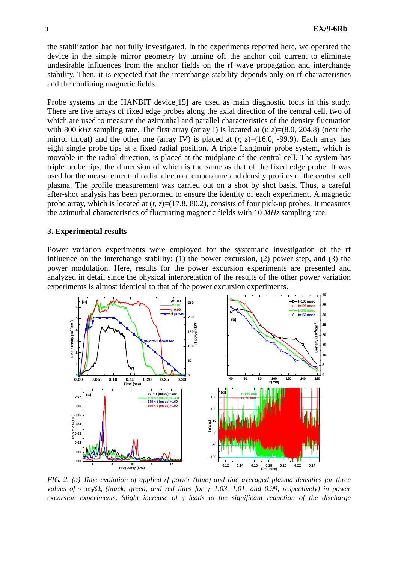the stabilization had not fully investigated. In the experiments reported here, we operated the device in the simple mirror geometry by turning off the anchor coil current to eliminate undesirable influences from the anchor fields on the rf wave propagation and interchange stability. Then, it is expected that the interchange stability depends only on rf characteristics and the confining magnetic fields.

Probe systems in the HANBIT device<sup>[15]</sup> are used as main diagnostic tools in this study. There are five arrays of fixed edge probes along the axial direction of the central cell, two of which are used to measure the azimuthal and parallel characteristics of the density fluctuation with 800 *kHz* sampling rate. The first array (array I) is located at  $(r, z) = (8.0, 204.8)$  (near the mirror throat) and the other one (array IV) is placed at  $(r, z) = (16.0, -99.9)$ . Each array has eight single probe tips at a fixed radial position. A triple Langmuir probe system, which is movable in the radial direction, is placed at the midplane of the central cell. The system has triple probe tips, the dimension of which is the same as that of the fixed edge probe. It was used for the measurement of radial electron temperature and density profiles of the central cell plasma. The profile measurement was carried out on a shot by shot basis. Thus, a careful after-shot analysis has been performed to ensure the identity of each experiment. A magnetic probe array, which is located at  $(r, z)=(17.8, 80.2)$ , consists of four pick-up probes. It measures the azimuthal characteristics of fluctuating magnetic fields with 10 *MHz* sampling rate.

## **3. Experimental results**

Power variation experiments were employed for the systematic investigation of the rf influence on the interchange stability: (1) the power excursion, (2) power step, and (3) the power modulation. Here, results for the power excursion experiments are presented and analyzed in detail since the physical interpretation of the results of the other power variation experiments is almost identical to that of the power excursion experiments.



*FIG. 2. (a) Time evolution of applied rf power (blue) and line averaged plasma densities for three values of*  $\gamma = \omega_0 / \Omega_i$  *(black, green, and red lines for*  $\gamma = 1.03$ , 1.01, and 0.99, *respectively*) *in power excursion experiments. Slight increase of* γ *leads to the significant reduction of the discharge*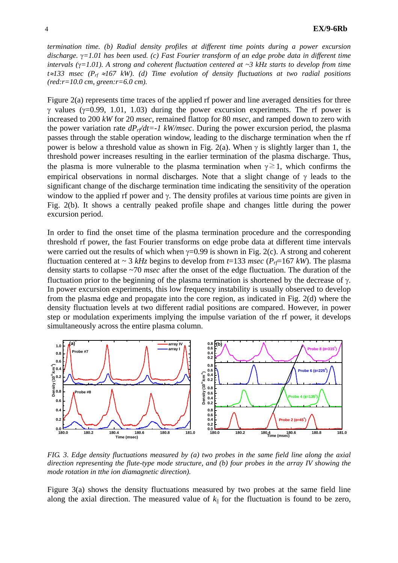*termination time. (b) Radial density profiles at different time points during a power excursion discharge.* γ*=1.01 has been used. (c) Fast Fourier transform of an edge probe data in different time intervals (*γ*=1.01). A strong and coherent fluctuation centered at ~3 kHz starts to develop from time t*≈*133 msec (Prf* ≈*167 kW). (d) Time evolution of density fluctuations at two radial positions (red:r=10.0 cm, green:r=6.0 cm).* 

Figure 2(a) represents time traces of the applied rf power and line averaged densities for three γ values (γ=0.99, 1.01, 1.03) during the power excursion experiments. The rf power is increased to 200 *kW* for 20 *msec*, remained flattop for 80 *msec*, and ramped down to zero with the power variation rate  $dP_r/dt = -1$  kW/msec. During the power excursion period, the plasma passes through the stable operation window, leading to the discharge termination when the rf power is below a threshold value as shown in Fig. 2(a). When  $\gamma$  is slightly larger than 1, the threshold power increases resulting in the earlier termination of the plasma discharge. Thus, the plasma is more vulnerable to the plasma termination when  $\gamma \geq 1$ , which confirms the empirical observations in normal discharges. Note that a slight change of  $\gamma$  leads to the significant change of the discharge termination time indicating the sensitivity of the operation window to the applied rf power and  $\gamma$ . The density profiles at various time points are given in Fig. 2(b). It shows a centrally peaked profile shape and changes little during the power excursion period.

In order to find the onset time of the plasma termination procedure and the corresponding threshold rf power, the fast Fourier transforms on edge probe data at different time intervals were carried out the results of which when  $\gamma=0.99$  is shown in Fig. 2(c). A strong and coherent fluctuation centered at  $\sim 3$  kHz begins to develop from *t*=133 *msec* ( $P_T$ =167 kW). The plasma density starts to collapse ~70 *msec* after the onset of the edge fluctuation. The duration of the fluctuation prior to the beginning of the plasma termination is shortened by the decrease of  $\gamma$ . In power excursion experiments, this low frequency instability is usually observed to develop from the plasma edge and propagate into the core region, as indicated in Fig. 2(d) where the density fluctuation levels at two different radial positions are compared. However, in power step or modulation experiments implying the impulse variation of the rf power, it develops simultaneously across the entire plasma column.



*FIG. 3. Edge density fluctuations measured by (a) two probes in the same field line along the axial direction representing the flute-type mode structure, and (b) four probes in the array IV showing the mode rotation in tthe ion diamagnetic direction).* 

Figure 3(a) shows the density fluctuations measured by two probes at the same field line along the axial direction. The measured value of  $k_{\parallel}$  for the fluctuation is found to be zero,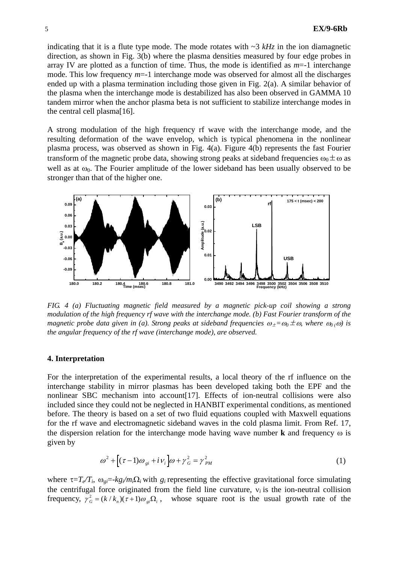indicating that it is a flute type mode. The mode rotates with  $\sim$ 3 *kHz* in the ion diamagnetic direction, as shown in Fig. 3(b) where the plasma densities measured by four edge probes in array IV are plotted as a function of time. Thus, the mode is identified as  $m=1$  interchange mode. This low frequency  $m=1$  interchange mode was observed for almost all the discharges ended up with a plasma termination including those given in Fig. 2(a). A similar behavior of the plasma when the interchange mode is destabilized has also been observed in GAMMA 10 tandem mirror when the anchor plasma beta is not sufficient to stabilize interchange modes in the central cell plasma[16].

A strong modulation of the high frequency rf wave with the interchange mode, and the resulting deformation of the wave envelop, which is typical phenomena in the nonlinear plasma process, was observed as shown in Fig. 4(a). Figure 4(b) represents the fast Fourier transform of the magnetic probe data, showing strong peaks at sideband frequencies  $\omega_0 \pm \omega$  as well as at  $\omega_0$ . The Fourier amplitude of the lower sideband has been usually observed to be stronger than that of the higher one.



*FIG. 4 (a) Fluctuating magnetic field measured by a magnetic pick-up coil showing a strong modulation of the high frequency rf wave with the interchange mode. (b) Fast Fourier transform of the magnetic probe data given in (a). Strong peaks at sideband frequencies*  $\omega_{\pm} = \omega_0 \pm \omega$ *, where*  $\omega_0 \cdot \omega$  *is the angular frequency of the rf wave (interchange mode), are observed.* 

### **4. Interpretation**

For the interpretation of the experimental results, a local theory of the rf influence on the interchange stability in mirror plasmas has been developed taking both the EPF and the nonlinear SBC mechanism into account[17]. Effects of ion-neutral collisions were also included since they could not be neglected in HANBIT experimental conditions, as mentioned before. The theory is based on a set of two fluid equations coupled with Maxwell equations for the rf wave and electromagnetic sideband waves in the cold plasma limit. From Ref. 17, the dispersion relation for the interchange mode having wave number **k** and frequency ω is given by

$$
\omega^2 + \left[ (\tau - 1)\omega_{gi} + i\,\nu_i \right] \omega + \gamma_G^2 = \gamma_{PM}^2 \tag{1}
$$

where  $\tau = T_e/T_i$ ,  $\omega_{ei} = -k g_i/m_i\Omega_i$  with  $g_i$  representing the effective gravitational force simulating the centrifugal force originated from the field line curvature,  $v_i$  is the ion-neutral collision whose square root is the usual growth rate of the frequency,  $\gamma_G^2 = (k / k_n)(\tau + 1)\omega_{gi} \Omega_i$ ,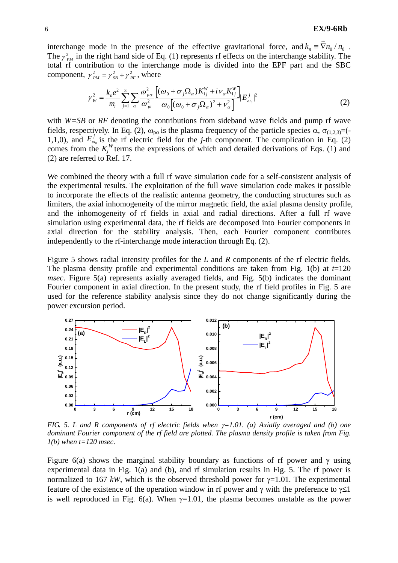interchange mode in the presence of the effective gravitational force, and  $k_n \equiv \vec{\nabla} n_0 / n_0$ . The  $\gamma_{PM}^2$  in the right hand side of Eq. (1) represents rf effects on the interchange stability. The total rf contribution to the interchange mode is divided into the EPF part and the SBC component,  $\gamma_{PM}^2 = \gamma_{SB}^2 + \gamma_{RF}^2$ , where

$$
\gamma_{W}^{2} = \frac{k_{n}e^{2}}{m_{i}} \sum_{j=1}^{3} \sum_{\alpha} \frac{\omega_{p\alpha}^{2} \left[ (\omega_{0} + \sigma_{j}\Omega_{\alpha})K_{1j}^{W} + i\nu_{\alpha}K_{1j}^{W} \right]}{\omega_{0} \left[ (\omega_{0} + \sigma_{j}\Omega_{\alpha})^{2} + \nu_{\alpha}^{2} \right]} |E_{\omega_{0}}^{j}|^{2}
$$
(2)

with *W=SB* or *RF* denoting the contributions from sideband wave fields and pump rf wave fields, respectively. In Eq. (2),  $\omega_{pa}$  is the plasma frequency of the particle species  $\alpha$ ,  $\sigma_{(1,2,3)}$ =(-1,1,0), and  $E_{\omega_0}^j$  is the rf electric field for the *j*-th component. The complication in Eq. (2) comes from the  $K_j^W$  terms the expressions of which and detailed derivations of Eqs. (1) and (2) are referred to Ref. 17.

We combined the theory with a full rf wave simulation code for a self-consistent analysis of the experimental results. The exploitation of the full wave simulation code makes it possible to incorporate the effects of the realistic antenna geometry, the conducting structures such as limiters, the axial inhomogeneity of the mirror magnetic field, the axial plasma density profile, and the inhomogeneity of rf fields in axial and radial directions. After a full rf wave simulation using experimental data, the rf fields are decomposed into Fourier components in axial direction for the stability analysis. Then, each Fourier component contributes independently to the rf-interchange mode interaction through Eq. (2).

Figure 5 shows radial intensity profiles for the *L* and *R* components of the rf electric fields. The plasma density profile and experimental conditions are taken from Fig. 1(b) at  $t=120$ *msec*. Figure 5(a) represents axially averaged fields, and Fig. 5(b) indicates the dominant Fourier component in axial direction. In the present study, the rf field profiles in Fig. 5 are used for the reference stability analysis since they do not change significantly during the power excursion period.



*FIG. 5. L and R components of rf electric fields when* γ*=1.01. (a) Axially averaged and (b) one dominant Fourier component of the rf field are plotted. The plasma density profile is taken from Fig. 1(b) when t=120 msec.* 

Figure 6(a) shows the marginal stability boundary as functions of rf power and  $\gamma$  using experimental data in Fig. 1(a) and (b), and rf simulation results in Fig. 5. The rf power is normalized to 167 kW, which is the observed threshold power for  $\gamma$ =1.01. The experimental feature of the existence of the operation window in rf power and  $\gamma$  with the preference to  $\gamma \leq 1$ is well reproduced in Fig. 6(a). When  $\gamma=1.01$ , the plasma becomes unstable as the power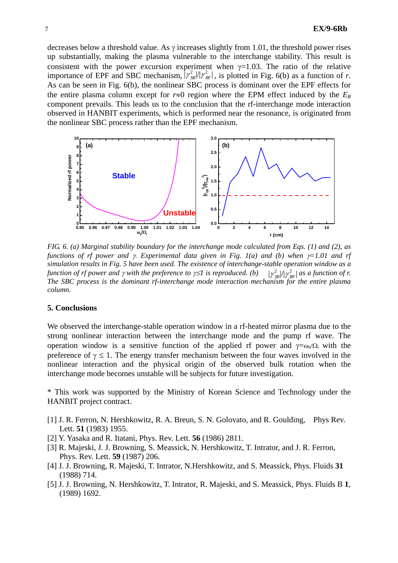decreases below a threshold value. As  $\gamma$  increases slightly from 1.01, the threshold power rises up substantially, making the plasma vulnerable to the interchange stability. This result is consistent with the power excursion experiment when  $\gamma=1.03$ . The ratio of the relative importance of EPF and SBC mechanism,  $|\gamma_{SB}^2|/\gamma_{RF}^2|$ , is plotted in Fig. 6(b) as a function of *r*. As can be seen in Fig. 6(b), the nonlinear SBC process is dominant over the EPF effects for the entire plasma column except for  $r \approx 0$  region where the EPM effect induced by the  $E_R$ component prevails. This leads us to the conclusion that the rf-interchange mode interaction observed in HANBIT experiments, which is performed near the resonance, is originated from the nonlinear SBC process rather than the EPF mechanism.



*FIG. 6. (a) Marginal stability boundary for the interchange mode calculated from Eqs. (1) and (2), as functions of rf power and* γ*. Experimental data given in Fig. 1(a) and (b) when* γ*=1.01 and rf simulation results in Fig. 5 have been used. The existence of interchange-stable operation window as a function of rf power and γ with the preference to*  $γ≤1$  *is reproduced. (b) The SBC process is the dominant rf-interchange mode interaction mechanism for the entire plasma column.*  $|\gamma^2_{\rm SB}|/|\gamma^2_{\rm RF}|$ 

## **5. Conclusions**

We observed the interchange-stable operation window in a rf-heated mirror plasma due to the strong nonlinear interaction between the interchange mode and the pump rf wave. The operation window is a sensitive function of the applied rf power and  $\gamma = \omega_0 / \Omega_i$  with the preference of  $\gamma \leq 1$ . The energy transfer mechanism between the four waves involved in the nonlinear interaction and the physical origin of the observed bulk rotation when the interchange mode becomes unstable will be subjects for future investigation.

\* This work was supported by the Ministry of Korean Science and Technology under the HANBIT project contract.

- [1] J. R. Ferron, N. Hershkowitz, R. A. Breun, S. N. Golovato, and R. Goulding, Phys Rev. Lett. **51** (1983) 1955.
- [2] Y. Yasaka and R. Itatani, Phys. Rev. Lett. **56** (1986) 2811.
- [3] R. Majeski, J. J. Browning, S. Meassick, N. Hershkowitz, T. Intrator, and J. R. Ferron, Phys. Rev. Lett. **59** (1987) 206.
- [4] J. J. Browning, R. Majeski, T. Intrator, N.Hershkowitz, and S. Meassick, Phys. Fluids **31** (1988) 714.
- [5] J. J. Browning, N. Hershkowitz, T. Intrator, R. Majeski, and S. Meassick, Phys. Fluids B **1**, (1989) 1692.